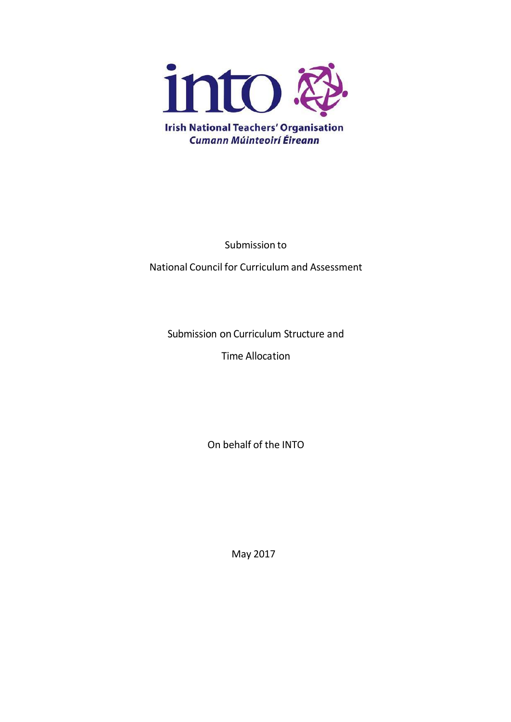

Submission to

National Council for Curriculum and Assessment

Submission on Curriculum Structure and

Time Allocation

On behalf of the INTO

May 2017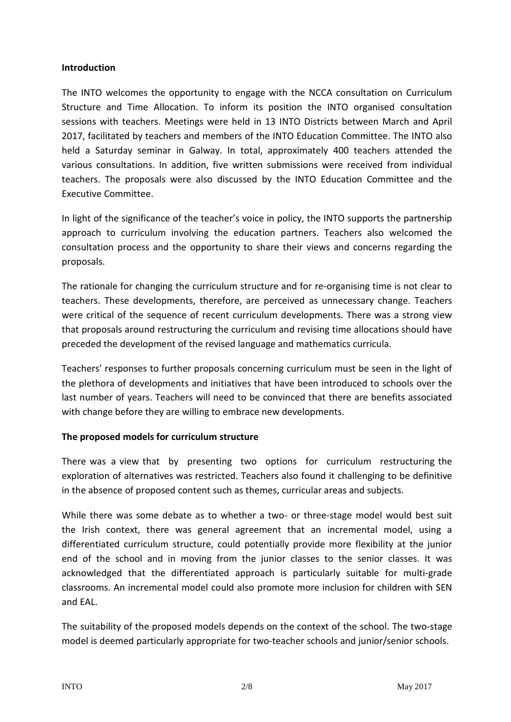#### **Introduction**

The INTO welcomes the opportunity to engage with the NCCA consultation on Curriculum Structure and Time Allocation. To inform its position the INTO organised consultation sessions with teachers. Meetings were held in 13 INTO Districts between March and April 2017, facilitated by teachers and members of the INTO Education Committee. The INTO also held a Saturday seminar in Galway. In total, approximately 400 teachers attended the various consultations. In addition, five written submissions were received from individual teachers. The proposals were also discussed by the INTO Education Committee and the Executive Committee.

In light of the significance of the teacher's voice in policy, the INTO supports the partnership approach to curriculum involving the education partners. Teachers also welcomed the consultation process and the opportunity to share their views and concerns regarding the proposals.

The rationale for changing the curriculum structure and for re-organising time is not clear to teachers. These developments, therefore, are perceived as unnecessary change. Teachers were critical of the sequence of recent curriculum developments. There was a strong view that proposals around restructuring the curriculum and revising time allocations should have preceded the development of the revised language and mathematics curricula.

Teachers' responses to further proposals concerning curriculum must be seen in the light of the plethora of developments and initiatives that have been introduced to schools over the last number of years. Teachers will need to be convinced that there are benefits associated with change before they are willing to embrace new developments.

## **The proposed models for curriculum structure**

There was a view that by presenting two options for curriculum restructuring the exploration of alternatives was restricted. Teachers also found it challenging to be definitive in the absence of proposed content such as themes, curricular areas and subjects.

While there was some debate as to whether a two- or three-stage model would best suit the Irish context, there was general agreement that an incremental model, using a differentiated curriculum structure, could potentially provide more flexibility at the junior end of the school and in moving from the junior classes to the senior classes. It was acknowledged that the differentiated approach is particularly suitable for multi-grade classrooms. An incremental model could also promote more inclusion for children with SEN and EAL.

The suitability of the proposed models depends on the context of the school. The two-stage model is deemed particularly appropriate for two-teacher schools and junior/senior schools.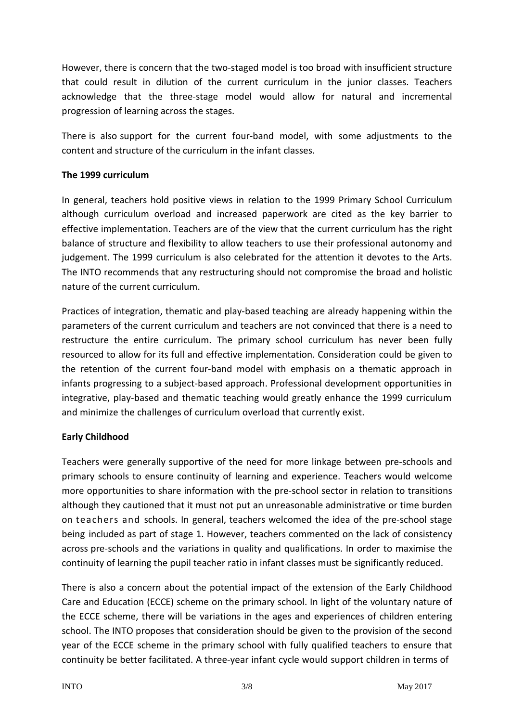However, there is concern that the two-staged model is too broad with insufficient structure that could result in dilution of the current curriculum in the junior classes. Teachers acknowledge that the three-stage model would allow for natural and incremental progression of learning across the stages.

There is also support for the current four-band model, with some adjustments to the content and structure of the curriculum in the infant classes.

# **The 1999 curriculum**

In general, teachers hold positive views in relation to the 1999 Primary School Curriculum although curriculum overload and increased paperwork are cited as the key barrier to effective implementation. Teachers are of the view that the current curriculum has the right balance of structure and flexibility to allow teachers to use their professional autonomy and judgement. The 1999 curriculum is also celebrated for the attention it devotes to the Arts. The INTO recommends that any restructuring should not compromise the broad and holistic nature of the current curriculum.

Practices of integration, thematic and play-based teaching are already happening within the parameters of the current curriculum and teachers are not convinced that there is a need to restructure the entire curriculum. The primary school curriculum has never been fully resourced to allow for its full and effective implementation. Consideration could be given to the retention of the current four-band model with emphasis on a thematic approach in infants progressing to a subject-based approach. Professional development opportunities in integrative, play-based and thematic teaching would greatly enhance the 1999 curriculum and minimize the challenges of curriculum overload that currently exist.

## **Early Childhood**

Teachers were generally supportive of the need for more linkage between pre-schools and primary schools to ensure continuity of learning and experience. Teachers would welcome more opportunities to share information with the pre-school sector in relation to transitions although they cautioned that it must not put an unreasonable administrative or time burden on teachers and schools. In general, teachers welcomed the idea of the pre-school stage being included as part of stage 1. However, teachers commented on the lack of consistency across pre-schools and the variations in quality and qualifications. In order to maximise the continuity of learning the pupil teacher ratio in infant classes must be significantly reduced.

There is also a concern about the potential impact of the extension of the Early Childhood Care and Education (ECCE) scheme on the primary school. In light of the voluntary nature of the ECCE scheme, there will be variations in the ages and experiences of children entering school. The INTO proposes that consideration should be given to the provision of the second year of the ECCE scheme in the primary school with fully qualified teachers to ensure that continuity be better facilitated. A three-year infant cycle would support children in terms of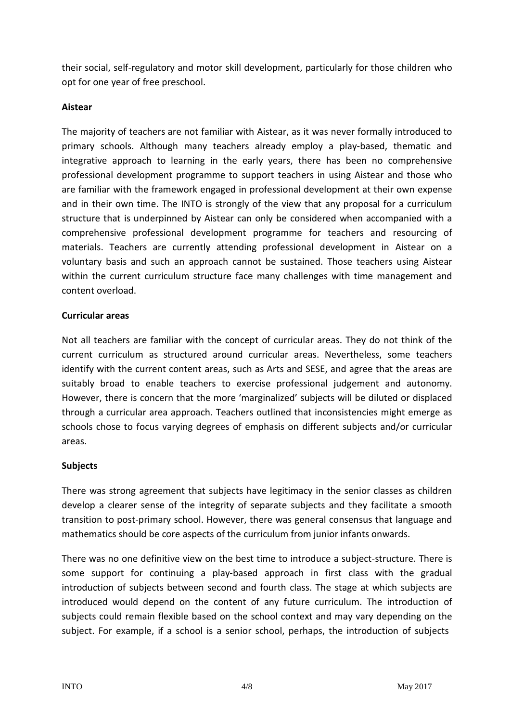their social, self-regulatory and motor skill development, particularly for those children who opt for one year of free preschool.

# **Aistear**

The majority of teachers are not familiar with Aistear, as it was never formally introduced to primary schools. Although many teachers already employ a play-based, thematic and integrative approach to learning in the early years, there has been no comprehensive professional development programme to support teachers in using Aistear and those who are familiar with the framework engaged in professional development at their own expense and in their own time. The INTO is strongly of the view that any proposal for a curriculum structure that is underpinned by Aistear can only be considered when accompanied with a comprehensive professional development programme for teachers and resourcing of materials. Teachers are currently attending professional development in Aistear on a voluntary basis and such an approach cannot be sustained. Those teachers using Aistear within the current curriculum structure face many challenges with time management and content overload.

## **Curricular areas**

Not all teachers are familiar with the concept of curricular areas. They do not think of the current curriculum as structured around curricular areas. Nevertheless, some teachers identify with the current content areas, such as Arts and SESE, and agree that the areas are suitably broad to enable teachers to exercise professional judgement and autonomy. However, there is concern that the more 'marginalized' subjects will be diluted or displaced through a curricular area approach. Teachers outlined that inconsistencies might emerge as schools chose to focus varying degrees of emphasis on different subjects and/or curricular areas.

## **Subjects**

There was strong agreement that subjects have legitimacy in the senior classes as children develop a clearer sense of the integrity of separate subjects and they facilitate a smooth transition to post-primary school. However, there was general consensus that language and mathematics should be core aspects of the curriculum from junior infants onwards.

There was no one definitive view on the best time to introduce a subject-structure. There is some support for continuing a play-based approach in first class with the gradual introduction of subjects between second and fourth class. The stage at which subjects are introduced would depend on the content of any future curriculum. The introduction of subjects could remain flexible based on the school context and may vary depending on the subject. For example, if a school is a senior school, perhaps, the introduction of subjects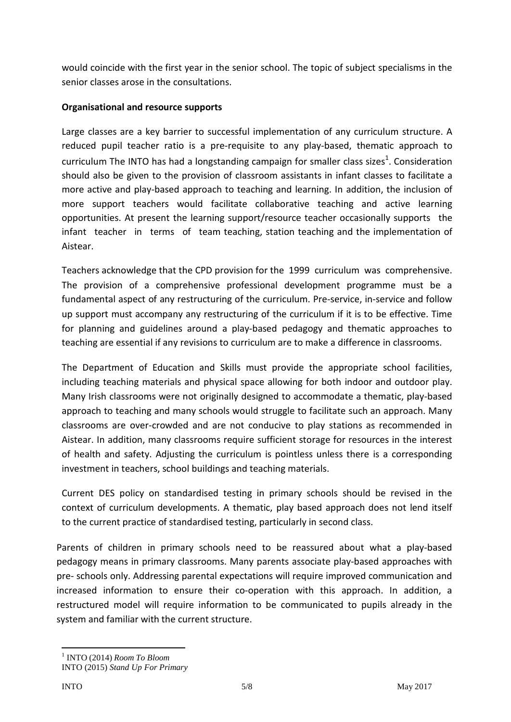would coincide with the first year in the senior school. The topic of subject specialisms in the senior classes arose in the consultations.

# **Organisational and resource supports**

Large classes are a key barrier to successful implementation of any curriculum structure. A reduced pupil teacher ratio is a pre-requisite to any play-based, thematic approach to curriculum The INTO has had a longstanding campaign for smaller class sizes<sup>1</sup>. Consideration should also be given to the provision of classroom assistants in infant classes to facilitate a more active and play-based approach to teaching and learning. In addition, the inclusion of more support teachers would facilitate collaborative teaching and active learning opportunities. At present the learning support/resource teacher occasionally supports the infant teacher in terms of team teaching, station teaching and the implementation of Aistear.

Teachers acknowledge that the CPD provision for the 1999 curriculum was comprehensive. The provision of a comprehensive professional development programme must be a fundamental aspect of any restructuring of the curriculum. Pre-service, in-service and follow up support must accompany any restructuring of the curriculum if it is to be effective. Time for planning and guidelines around a play-based pedagogy and thematic approaches to teaching are essential if any revisions to curriculum are to make a difference in classrooms.

The Department of Education and Skills must provide the appropriate school facilities, including teaching materials and physical space allowing for both indoor and outdoor play. Many Irish classrooms were not originally designed to accommodate a thematic, play-based approach to teaching and many schools would struggle to facilitate such an approach. Many classrooms are over-crowded and are not conducive to play stations as recommended in Aistear. In addition, many classrooms require sufficient storage for resources in the interest of health and safety. Adjusting the curriculum is pointless unless there is a corresponding investment in teachers, school buildings and teaching materials.

Current DES policy on standardised testing in primary schools should be revised in the context of curriculum developments. A thematic, play based approach does not lend itself to the current practice of standardised testing, particularly in second class.

Parents of children in primary schools need to be reassured about what a play-based pedagogy means in primary classrooms. Many parents associate play-based approaches with pre- schools only. Addressing parental expectations will require improved communication and increased information to ensure their co-operation with this approach. In addition, a restructured model will require information to be communicated to pupils already in the system and familiar with the current structure.

<sup>1</sup> INTO (2014) *Room To Bloom*

INTO (2015) *Stand Up For Primary*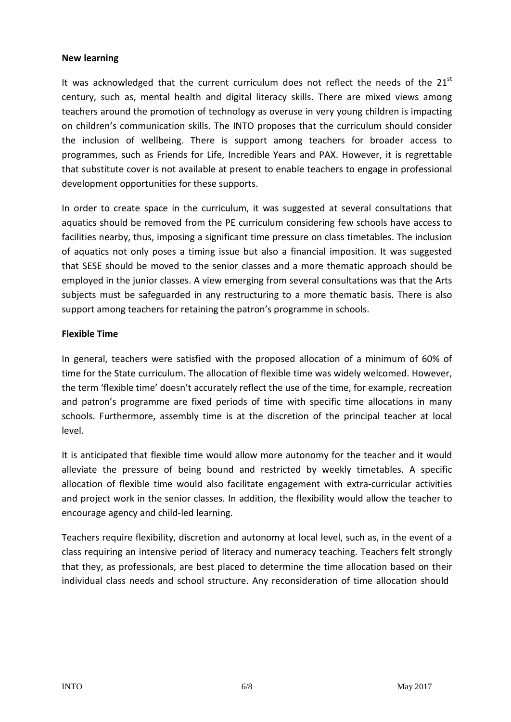#### **New learning**

It was acknowledged that the current curriculum does not reflect the needs of the  $21<sup>st</sup>$ century, such as, mental health and digital literacy skills. There are mixed views among teachers around the promotion of technology as overuse in very young children is impacting on children's communication skills. The INTO proposes that the curriculum should consider the inclusion of wellbeing. There is support among teachers for broader access to programmes, such as Friends for Life, Incredible Years and PAX. However, it is regrettable that substitute cover is not available at present to enable teachers to engage in professional development opportunities for these supports.

In order to create space in the curriculum, it was suggested at several consultations that aquatics should be removed from the PE curriculum considering few schools have access to facilities nearby, thus, imposing a significant time pressure on class timetables. The inclusion of aquatics not only poses a timing issue but also a financial imposition. It was suggested that SESE should be moved to the senior classes and a more thematic approach should be employed in the junior classes. A view emerging from several consultations was that the Arts subjects must be safeguarded in any restructuring to a more thematic basis. There is also support among teachers for retaining the patron's programme in schools.

## **Flexible Time**

In general, teachers were satisfied with the proposed allocation of a minimum of 60% of time for the State curriculum. The allocation of flexible time was widely welcomed. However, the term 'flexible time' doesn't accurately reflect the use of the time, for example, recreation and patron's programme are fixed periods of time with specific time allocations in many schools. Furthermore, assembly time is at the discretion of the principal teacher at local level.

It is anticipated that flexible time would allow more autonomy for the teacher and it would alleviate the pressure of being bound and restricted by weekly timetables. A specific allocation of flexible time would also facilitate engagement with extra-curricular activities and project work in the senior classes. In addition, the flexibility would allow the teacher to encourage agency and child-led learning.

Teachers require flexibility, discretion and autonomy at local level, such as, in the event of a class requiring an intensive period of literacy and numeracy teaching. Teachers felt strongly that they, as professionals, are best placed to determine the time allocation based on their individual class needs and school structure. Any reconsideration of time allocation should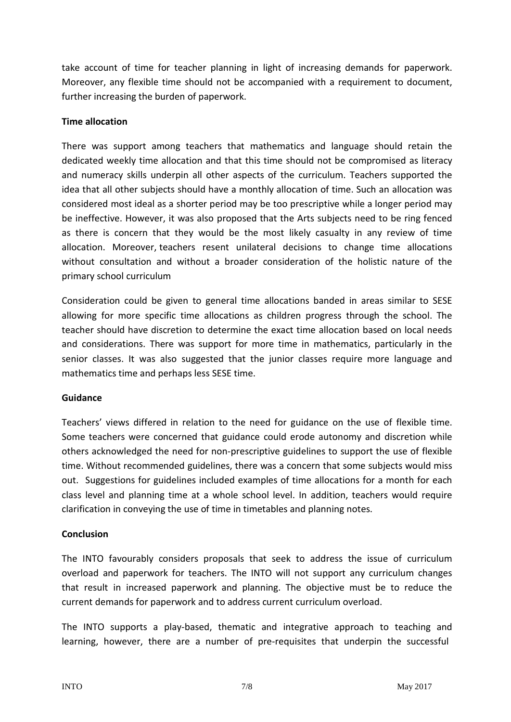take account of time for teacher planning in light of increasing demands for paperwork. Moreover, any flexible time should not be accompanied with a requirement to document, further increasing the burden of paperwork.

#### **Time allocation**

There was support among teachers that mathematics and language should retain the dedicated weekly time allocation and that this time should not be compromised as literacy and numeracy skills underpin all other aspects of the curriculum. Teachers supported the idea that all other subjects should have a monthly allocation of time. Such an allocation was considered most ideal as a shorter period may be too prescriptive while a longer period may be ineffective. However, it was also proposed that the Arts subjects need to be ring fenced as there is concern that they would be the most likely casualty in any review of time allocation. Moreover, teachers resent unilateral decisions to change time allocations without consultation and without a broader consideration of the holistic nature of the primary school curriculum

Consideration could be given to general time allocations banded in areas similar to SESE allowing for more specific time allocations as children progress through the school. The teacher should have discretion to determine the exact time allocation based on local needs and considerations. There was support for more time in mathematics, particularly in the senior classes. It was also suggested that the junior classes require more language and mathematics time and perhaps less SESE time.

## **Guidance**

Teachers' views differed in relation to the need for guidance on the use of flexible time. Some teachers were concerned that guidance could erode autonomy and discretion while others acknowledged the need for non-prescriptive guidelines to support the use of flexible time. Without recommended guidelines, there was a concern that some subjects would miss out. Suggestions for guidelines included examples of time allocations for a month for each class level and planning time at a whole school level. In addition, teachers would require clarification in conveying the use of time in timetables and planning notes.

## **Conclusion**

The INTO favourably considers proposals that seek to address the issue of curriculum overload and paperwork for teachers. The INTO will not support any curriculum changes that result in increased paperwork and planning. The objective must be to reduce the current demands for paperwork and to address current curriculum overload.

The INTO supports a play-based, thematic and integrative approach to teaching and learning, however, there are a number of pre-requisites that underpin the successful